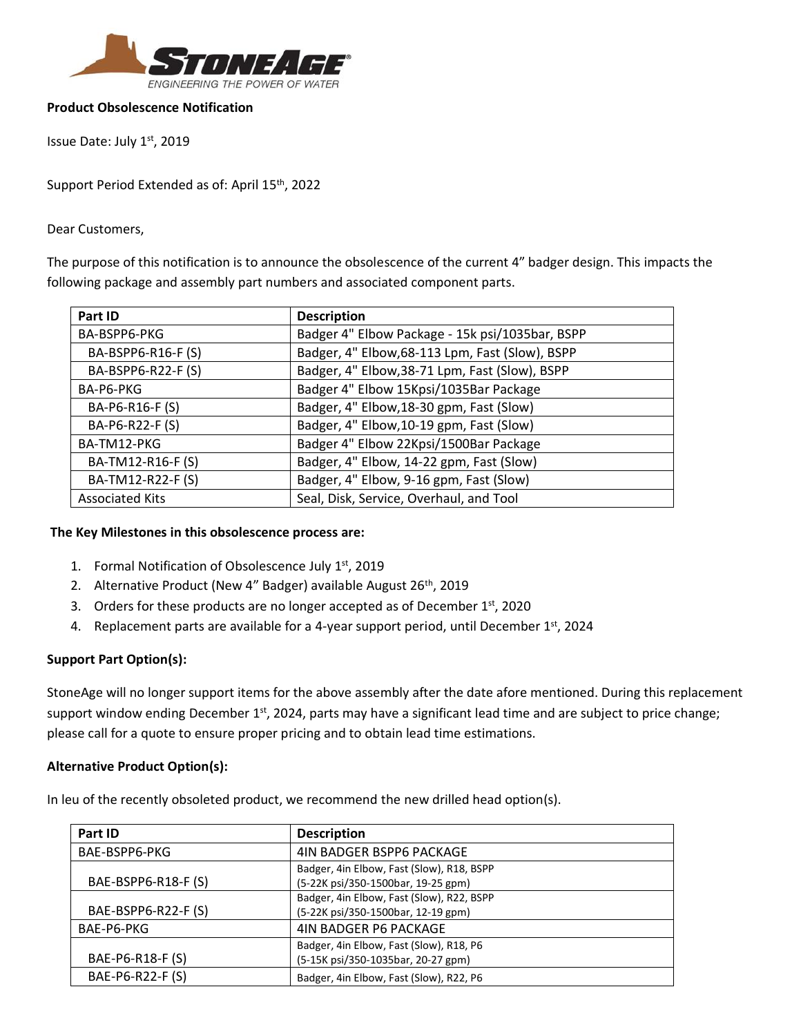

### **Product Obsolescence Notification**

Issue Date: July 1st, 2019

Support Period Extended as of: April 15<sup>th</sup>, 2022

Dear Customers,

The purpose of this notification is to announce the obsolescence of the current 4" badger design. This impacts the following package and assembly part numbers and associated component parts.

| Part ID                | <b>Description</b>                              |
|------------------------|-------------------------------------------------|
| BA-BSPP6-PKG           | Badger 4" Elbow Package - 15k psi/1035bar, BSPP |
| BA-BSPP6-R16-F (S)     | Badger, 4" Elbow, 68-113 Lpm, Fast (Slow), BSPP |
| BA-BSPP6-R22-F (S)     | Badger, 4" Elbow, 38-71 Lpm, Fast (Slow), BSPP  |
| BA-P6-PKG              | Badger 4" Elbow 15Kpsi/1035Bar Package          |
| BA-P6-R16-F (S)        | Badger, 4" Elbow, 18-30 gpm, Fast (Slow)        |
| BA-P6-R22-F (S)        | Badger, 4" Elbow, 10-19 gpm, Fast (Slow)        |
| BA-TM12-PKG            | Badger 4" Elbow 22Kpsi/1500Bar Package          |
| BA-TM12-R16-F (S)      | Badger, 4" Elbow, 14-22 gpm, Fast (Slow)        |
| BA-TM12-R22-F (S)      | Badger, 4" Elbow, 9-16 gpm, Fast (Slow)         |
| <b>Associated Kits</b> | Seal, Disk, Service, Overhaul, and Tool         |

### **The Key Milestones in this obsolescence process are:**

- 1. Formal Notification of Obsolescence July 1st, 2019
- 2. Alternative Product (New 4" Badger) available August 26<sup>th</sup>, 2019
- 3. Orders for these products are no longer accepted as of December 1st, 2020
- 4. Replacement parts are available for a 4-year support period, until December 1<sup>st</sup>, 2024

# **Support Part Option(s):**

StoneAge will no longer support items for the above assembly after the date afore mentioned. During this replacement support window ending December 1<sup>st</sup>, 2024, parts may have a significant lead time and are subject to price change; please call for a quote to ensure proper pricing and to obtain lead time estimations.

# **Alternative Product Option(s):**

In leu of the recently obsoleted product, we recommend the new drilled head option(s).

| Part ID             | <b>Description</b>                        |
|---------------------|-------------------------------------------|
| BAE-BSPP6-PKG       | 4IN BADGER BSPP6 PACKAGE                  |
| BAE-BSPP6-R18-F (S) | Badger, 4in Elbow, Fast (Slow), R18, BSPP |
|                     | (5-22K psi/350-1500bar, 19-25 gpm)        |
|                     | Badger, 4in Elbow, Fast (Slow), R22, BSPP |
| BAE-BSPP6-R22-F (S) | (5-22K psi/350-1500bar, 12-19 gpm)        |
| BAE-P6-PKG          | <b>4IN BADGER P6 PACKAGE</b>              |
|                     | Badger, 4in Elbow, Fast (Slow), R18, P6   |
| BAE-P6-R18-F (S)    | (5-15K psi/350-1035bar, 20-27 gpm)        |
| BAE-P6-R22-F (S)    | Badger, 4in Elbow, Fast (Slow), R22, P6   |